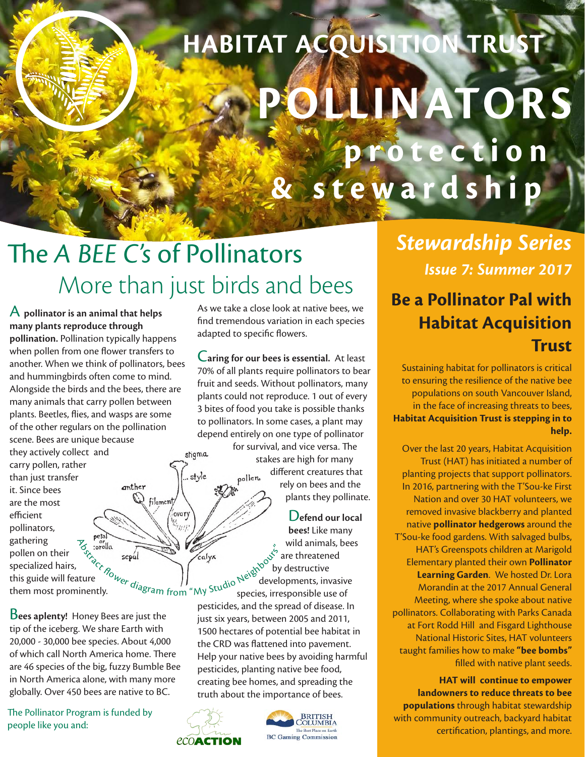# **POLLINATORS & s t e w a r d s h i p HABITAT ACQUISITION TRUST**

# The *A BEE C's* of Pollinators More than just birds and bees **Be a Pollinator Pal with**

stigma

ovary

A **pollinator is an animal that helps many plants reproduce through pollination.** Pollination typically happens when pollen from one flower transfers to another. When we think of pollinators, bees and hummingbirds often come to mind. Alongside the birds and the bees, there are many animals that carry pollen between plants. Beetles, flies, and wasps are some of the other regulars on the pollination scene. Bees are unique because they actively collect and carry pollen, rather  $\int_{\mathbb{R}^2}$ style than just transfer anther Gel filament

it. Since bees are the most efficient pollinators, gathering pollen on their specialized hairs, this guide will feature them most prominently.

B**ees aplenty!** Honey Bees are just the tip of the iceberg. We share Earth with 20,000 - 30,000 bee species. About 4,000 of which call North America home. There are 46 species of the big, fuzzy Bumble Bee in North America alone, with many more globally. Over 450 bees are native to BC.

The Pollinator Program is funded by people like you and:

As we take a close look at native bees, we find tremendous variation in each species adapted to specific flowers.

C**aring for our bees is essential.** At least 70% of all plants require pollinators to bear fruit and seeds. Without pollinators, many plants could not reproduce. 1 out of every 3 bites of food you take is possible thanks to pollinators. In some cases, a plant may depend entirely on one type of pollinator

for survival, and vice versa. The stakes are high for many different creatures that poller rely on bees and the plants they pollinate.

D**efend our local bees!** Like many wild animals, bees are threatened by destructive developments, invasive  $\frac{1}{2}$  sepal sepal sepal calyx<br>ture  $\frac{1}{2}$   $\frac{1}{2}$   $\frac{1}{2}$   $\frac{1}{2}$   $\frac{1}{2}$   $\frac{1}{2}$   $\frac{1}{2}$   $\frac{1}{2}$   $\frac{1}{2}$   $\frac{1}{2}$   $\frac{1}{2}$   $\frac{1}{2}$   $\frac{1}{2}$   $\frac{1}{2}$   $\frac{1}{2}$   $\frac{1}{2}$   $\frac{1}{2}$   $\frac{1}{2}$   $\$ 

pesticides, and the spread of disease. In just six years, between 2005 and 2011, 1500 hectares of potential bee habitat in the CRD was flattened into pavement. Help your native bees by avoiding harmful pesticides, planting native bee food, creating bee homes, and spreading the truth about the importance of bees.





*Stewardship Series Issue 7: Summer 2017*

### **Habitat Acquisition Trust**

Sustaining habitat for pollinators is critical to ensuring the resilience of the native bee populations on south Vancouver Island, in the face of increasing threats to bees, **Habitat Acquisition Trust is stepping in to help.**

Over the last 20 years, Habitat Acquisition Trust (HAT) has initiated a number of planting projects that support pollinators. In 2016, partnering with the T'Sou-ke First Nation and over 30 HAT volunteers, we removed invasive blackberry and planted native **pollinator hedgerows** around the T'Sou-ke food gardens. With salvaged bulbs, HAT's Greenspots children at Marigold Elementary planted their own **Pollinator Learning Garden**. We hosted Dr. Lora Morandin at the 2017 Annual General Meeting, where she spoke about native pollinators. Collaborating with Parks Canada at Fort Rodd Hill and Fisgard Lighthouse National Historic Sites, HAT volunteers taught families how to make **"bee bombs"** filled with native plant seeds.

**HAT will continue to empower landowners to reduce threats to bee populations** through habitat stewardship with community outreach, backyard habitat certification, plantings, and more.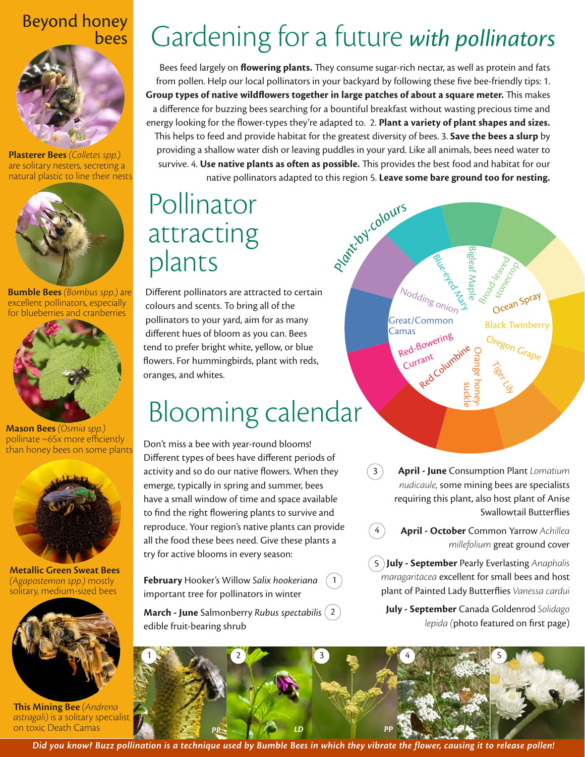### Beyond honey bees



**Plasterer Bees** *(Colletes spp.)* are solitary nesters, secreting a natural plastic to line their nests



**Bumble Bees** *(Bombus spp.)* are excellent pollinators, especially for blueberries and cranberries



**Mason Bees** *(Osmia spp.)* pollinate ~65x more efficiently than honey bees on some plants



**Metallic Green Sweat Bees**  *(Agapostemon spp.)* mostly solitary, medium-sized bees



**This Mining Bee** *(Andrena astragali)* is a solitary specialist on toxic Death Camas

# Gardening for a future *with pollinators*

Bees feed largely on **flowering plants.** They consume sugar-rich nectar, as well as protein and fats from pollen. Help our local pollinators in your backyard by following these five bee-friendly tips: 1. **Group types of native wildflowers together in large patches of about a square meter.** This makes a difference for buzzing bees searching for a bountiful breakfast without wasting precious time and energy looking for the flower-types they're adapted to. 2. **Plant a variety of plant shapes and sizes.** This helps to feed and provide habitat for the greatest diversity of bees. 3. **Save the bees a slurp** by providing a shallow water dish or leaving puddles in your yard. Like all animals, bees need water to survive. 4. **Use native plants as often as possible.** This provides the best food and habitat for our native pollinators adapted to this region 5. **Leave some bare ground too for nesting.** *Plant-by-colour<sup>s</sup>*

### **Pollinator** attracting plants

Different pollinators are attracted to certain colours and scents. To bring all of the pollinators to your yard, aim for as many different hues of bloom as you can. Bees tend to prefer bright white, yellow, or blue flowers. For hummingbirds, plant with reds, oranges, and whites.

### Blooming calendar

Don't miss a bee with year-round blooms! Different types of bees have different periods of activity and so do our native flowers. When they emerge, typically in spring and summer, bees have a small window of time and space available to find the right flowering plants to survive and reproduce. Your region's native plants can provide all the food these bees need. Give these plants a try for active blooms in every season:

**February** Hooker's Willow *Salix hookeriana* important tree for pollinators in winter  $1^{\circ}$ 

**March - June** Salmonberry *Rubus spectabilis*  2 edible fruit-bearing shrub

**April - June** Consumption Plant *Lomatium nudicaule,* some mining bees are specialists requiring this plant, also host plant of Anise Swallowtail Butterflies

Bigleaf Maple

**Black Twinberry**<br>Great/Common<br>Camas Black Twinberry

Red-flowering Currant

Red Columbi

**Blue-Blue-Blue**<br>Nodding onion 2

Orange honey-

Oregon Grape

Tiger Little

Broad-leaved

suckle

**April - October** Common Yarrow *Achillea millefolium* great ground cover

**July - September** Pearly Everlasting *Anaphalis*  5 *maragaritacea* excellent for small bees and host plant of Painted Lady Butterflies *Vanessa cardui* 

**July - September** Canada Goldenrod *Solidago lepida (*photo featured on first page)



 $(3)$ 

 $(4)$ 

*Did you know? Buzz pollination is a technique used by Bumble Bees in which they vibrate the flower, causing it to release pollen!*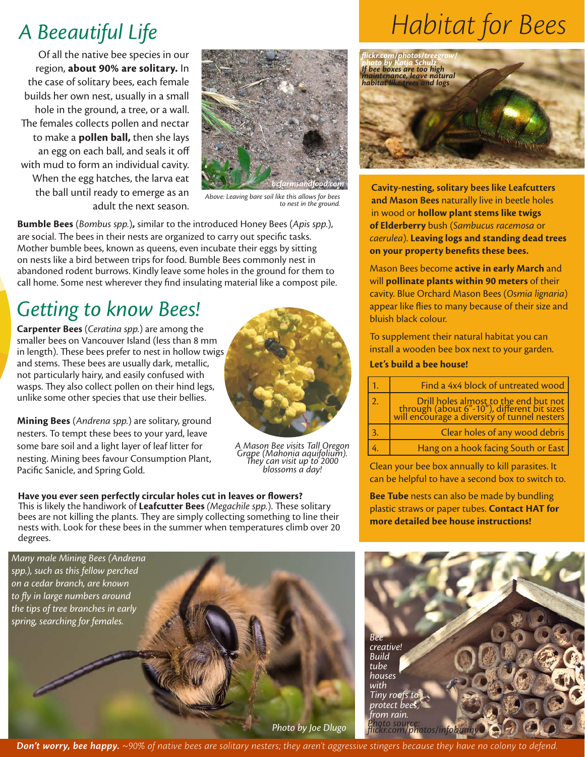### *A Beeautiful Life*

Of all the native bee species in our region, **about 90% are solitary.** In the case of solitary bees, each female builds her own nest, usually in a small hole in the ground, a tree, or a wall. The females collects pollen and nectar to make a **pollen ball,** then she lays an egg on each ball, and seals it off with mud to form an individual cavity. When the egg hatches, the larva eat the ball until ready to emerge as an adult the next season.



*Above: Leaving bare soil like this allows for bees to nest in the ground.*

**Bumble Bees** (*Bombus spp.*)**,** similar to the introduced Honey Bees (*Apis spp.*), are social. The bees in their nests are organized to carry out specific tasks. Mother bumble bees, known as queens, even incubate their eggs by sitting on nests like a bird between trips for food. Bumble Bees commonly nest in abandoned rodent burrows. Kindly leave some holes in the ground for them to call home. Some nest wherever they find insulating material like a compost pile.

### *Getting to know Bees!*

**Carpenter Bees** (*Ceratina spp.*) are among the smaller bees on Vancouver Island (less than 8 mm in length). These bees prefer to nest in hollow twigs and stems. These bees are usually dark, metallic, not particularly hairy, and easily confused with wasps. They also collect pollen on their hind legs, unlike some other species that use their bellies.

**Mining Bees** (*Andrena spp.*) are solitary, ground nesters. To tempt these bees to your yard, leave some bare soil and a light layer of leaf litter for nesting. Mining bees favour Consumption Plant, Pacific Sanicle, and Spring Gold.



*A Mason Bee visits Tall Oregon Grape (Mahonia aquifolium). They can visit up to 2000 blossoms a day!*

**Have you ever seen perfectly circular holes cut in leaves or flowers?**  This is likely the handiwork of **Leafcutter Bees** *(Megachile spp.*). These solitary bees are not killing the plants. They are simply collecting something to line their nests with. Look for these bees in the summer when temperatures climb over 20 degrees.

*Many male Mining Bees (Andrena spp.), such as this fellow perched on a cedar branch, are known to fly in large numbers around the tips of tree branches in early spring, searching for females.*

*Photo by Joe Dlugo*

## *Habitat for Bees*



**Cavity-nesting, solitary bees like Leafcutters and Mason Bees** naturally live in beetle holes in wood or **hollow plant stems like twigs of Elderberry** bush (*Sambucus racemosa* or *caerulea*). **Leaving logs and standing dead trees on your property benefits these bees.** 

Mason Bees become **active in early March** and will **pollinate plants within 90 meters** of their cavity. Blue Orchard Mason Bees (*Osmia lignaria*) appear like flies to many because of their size and bluish black colour.

To supplement their natural habitat you can install a wooden bee box next to your garden.

#### **Let's build a bee house!**

|    | Find a 4x4 block of untreated wood                                                                                                   |  |
|----|--------------------------------------------------------------------------------------------------------------------------------------|--|
| 2. | Drill holes almost to the end but not<br>through (about 6"-10"), different bit sizes<br>will encourage a diversity of tunnel nesters |  |
|    | Clear holes of any wood debris                                                                                                       |  |
|    | Hang on a hook facing South or East                                                                                                  |  |

Clean your bee box annually to kill parasites. It can be helpful to have a second box to switch to.

**Bee Tube** nests can also be made by bundling plastic straws or paper tubes. **Contact HAT for more detailed bee house instructions!**



*Don't worry, bee happy. ~90% of native bees are solitary nesters; they aren't aggressive stingers because they have no colony to defend.*